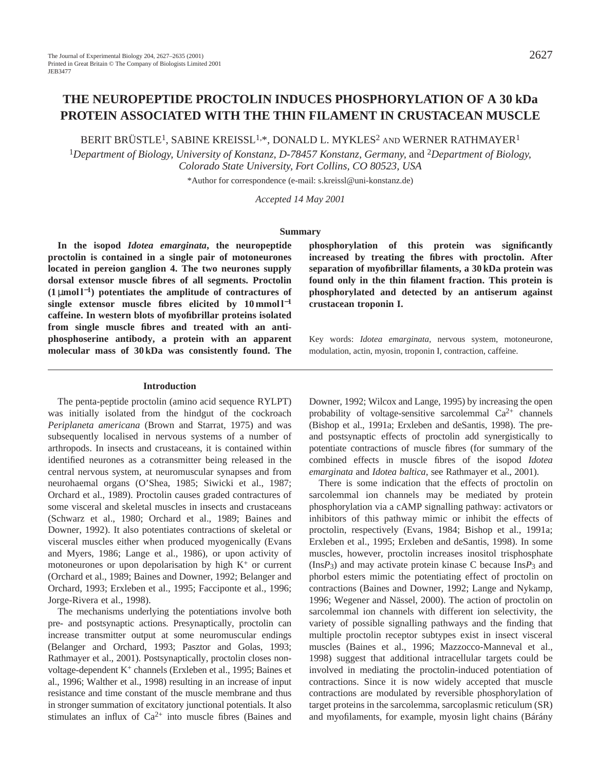# **THE NEUROPEPTIDE PROCTOLIN INDUCES PHOSPHORYLATION OF A 30 kDa PROTEIN ASSOCIATED WITH THE THIN FILAMENT IN CRUSTACEAN MUSCLE**

BERIT BRÜSTLE<sup>1</sup>, SABINE KREISSL<sup>1,\*</sup>, DONALD L. MYKLES<sup>2</sup> and WERNER RATHMAYER<sup>1</sup>

<sup>1</sup>*Department of Biology, University of Konstanz, D-78457 Konstanz, Germany,* and 2*Department of Biology, Colorado State University, Fort Collins, CO 80523, USA*

\*Author for correspondence (e-mail: s.kreissl@uni-konstanz.de)

*Accepted 14 May 2001* 

#### **Summary**

**In the isopod** *Idotea emarginata***, the neuropeptide proctolin is contained in a single pair of motoneurones located in pereion ganglion 4. The two neurones supply dorsal extensor muscle fibres of all segments. Proctolin (1** µ**mol l**<sup>−</sup>**1) potentiates the amplitude of contractures of single extensor muscle fibres elicited by 10 mmol l**−**<sup>1</sup> caffeine. In western blots of myofibrillar proteins isolated from single muscle fibres and treated with an antiphosphoserine antibody, a protein with an apparent molecular mass of 30 kDa was consistently found. The**

**Introduction**

The penta-peptide proctolin (amino acid sequence RYLPT) was initially isolated from the hindgut of the cockroach *Periplaneta americana* (Brown and Starrat, 1975) and was subsequently localised in nervous systems of a number of arthropods. In insects and crustaceans, it is contained within identified neurones as a cotransmitter being released in the central nervous system, at neuromuscular synapses and from neurohaemal organs (O'Shea, 1985; Siwicki et al., 1987; Orchard et al., 1989). Proctolin causes graded contractures of some visceral and skeletal muscles in insects and crustaceans (Schwarz et al., 1980; Orchard et al., 1989; Baines and Downer, 1992). It also potentiates contractions of skeletal or visceral muscles either when produced myogenically (Evans and Myers, 1986; Lange et al., 1986), or upon activity of motoneurones or upon depolarisation by high  $K^+$  or current (Orchard et al., 1989; Baines and Downer, 1992; Belanger and Orchard, 1993; Erxleben et al., 1995; Facciponte et al., 1996; Jorge-Rivera et al., 1998).

The mechanisms underlying the potentiations involve both pre- and postsynaptic actions. Presynaptically, proctolin can increase transmitter output at some neuromuscular endings (Belanger and Orchard, 1993; Pasztor and Golas, 1993; Rathmayer et al., 2001). Postsynaptically, proctolin closes nonvoltage-dependent K+ channels (Erxleben et al., 1995; Baines et al., 1996; Walther et al., 1998) resulting in an increase of input resistance and time constant of the muscle membrane and thus in stronger summation of excitatory junctional potentials. It also stimulates an influx of  $Ca^{2+}$  into muscle fibres (Baines and **phosphorylation of this protein was significantly increased by treating the fibres with proctolin. After separation of myofibrillar filaments, a 30 kDa protein was found only in the thin filament fraction. This protein is phosphorylated and detected by an antiserum against crustacean troponin I.**

Key words: *Idotea emarginata*, nervous system, motoneurone, modulation, actin, myosin, troponin I, contraction, caffeine.

Downer, 1992; Wilcox and Lange, 1995) by increasing the open probability of voltage-sensitive sarcolemmal  $Ca^{2+}$  channels (Bishop et al., 1991a; Erxleben and deSantis, 1998). The preand postsynaptic effects of proctolin add synergistically to potentiate contractions of muscle fibres (for summary of the combined effects in muscle fibres of the isopod *Idotea emarginata* and *Idotea baltica*, see Rathmayer et al., 2001).

There is some indication that the effects of proctolin on sarcolemmal ion channels may be mediated by protein phosphorylation via a cAMP signalling pathway: activators or inhibitors of this pathway mimic or inhibit the effects of proctolin, respectively (Evans, 1984; Bishop et al., 1991a; Erxleben et al., 1995; Erxleben and deSantis, 1998). In some muscles, however, proctolin increases inositol trisphosphate (Ins*P*3) and may activate protein kinase C because Ins*P*3 and phorbol esters mimic the potentiating effect of proctolin on contractions (Baines and Downer, 1992; Lange and Nykamp, 1996; Wegener and Nässel, 2000). The action of proctolin on sarcolemmal ion channels with different ion selectivity, the variety of possible signalling pathways and the finding that multiple proctolin receptor subtypes exist in insect visceral muscles (Baines et al., 1996; Mazzocco-Manneval et al., 1998) suggest that additional intracellular targets could be involved in mediating the proctolin-induced potentiation of contractions. Since it is now widely accepted that muscle contractions are modulated by reversible phosphorylation of target proteins in the sarcolemma, sarcoplasmic reticulum (SR) and myofilaments, for example, myosin light chains (Bárány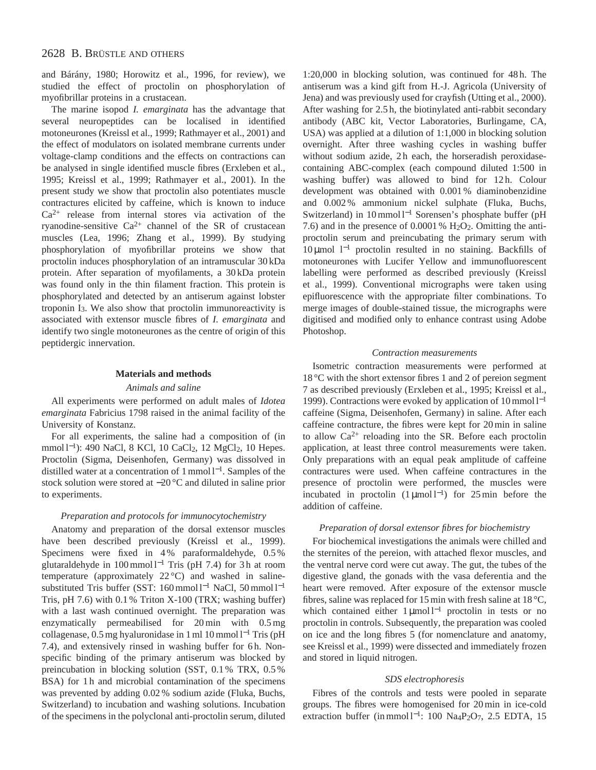and Bárány, 1980; Horowitz et al., 1996, for review), we studied the effect of proctolin on phosphorylation of myofibrillar proteins in a crustacean.

The marine isopod *I. emarginata* has the advantage that several neuropeptides can be localised in identified motoneurones (Kreissl et al., 1999; Rathmayer et al., 2001) and the effect of modulators on isolated membrane currents under voltage-clamp conditions and the effects on contractions can be analysed in single identified muscle fibres (Erxleben et al., 1995; Kreissl et al., 1999; Rathmayer et al., 2001). In the present study we show that proctolin also potentiates muscle contractures elicited by caffeine, which is known to induce  $Ca<sup>2+</sup>$  release from internal stores via activation of the ryanodine-sensitive  $Ca^{2+}$  channel of the SR of crustacean muscles (Lea, 1996; Zhang et al., 1999). By studying phosphorylation of myofibrillar proteins we show that proctolin induces phosphorylation of an intramuscular 30 kDa protein. After separation of myofilaments, a 30 kDa protein was found only in the thin filament fraction. This protein is phosphorylated and detected by an antiserum against lobster troponin I3. We also show that proctolin immunoreactivity is associated with extensor muscle fibres of *I. emarginata* and identify two single motoneurones as the centre of origin of this peptidergic innervation.

#### **Materials and methods**

#### *Animals and saline*

All experiments were performed on adult males of *Idotea emarginata* Fabricius 1798 raised in the animal facility of the University of Konstanz.

For all experiments, the saline had a composition of (in mmol l<sup>-1</sup>): 490 NaCl, 8 KCl, 10 CaCl<sub>2</sub>, 12 MgCl<sub>2</sub>, 10 Hepes. Proctolin (Sigma, Deisenhofen, Germany) was dissolved in distilled water at a concentration of 1 mmol l<sup>−</sup>1. Samples of the stock solution were stored at −20 °C and diluted in saline prior to experiments.

### *Preparation and protocols for immunocytochemistry*

Anatomy and preparation of the dorsal extensor muscles have been described previously (Kreissl et al., 1999). Specimens were fixed in 4% paraformaldehyde, 0.5% glutaraldehyde in 100 mmol l−<sup>1</sup> Tris (pH 7.4) for 3 h at room temperature (approximately 22 °C) and washed in salinesubstituted Tris buffer (SST: 160 mmol l−<sup>1</sup> NaCl, 50 mmol l−<sup>1</sup> Tris, pH 7.6) with 0.1 % Triton X-100 (TRX; washing buffer) with a last wash continued overnight. The preparation was enzymatically permeabilised for 20 min with 0.5 mg collagenase, 0.5 mg hyaluronidase in 1 ml 10 mmol l−<sup>1</sup> Tris (pH 7.4), and extensively rinsed in washing buffer for 6h. Nonspecific binding of the primary antiserum was blocked by preincubation in blocking solution (SST, 0.1 % TRX, 0.5 % BSA) for 1h and microbial contamination of the specimens was prevented by adding 0.02 % sodium azide (Fluka, Buchs, Switzerland) to incubation and washing solutions. Incubation of the specimens in the polyclonal anti-proctolin serum, diluted

1:20,000 in blocking solution, was continued for 48 h. The antiserum was a kind gift from H.-J. Agricola (University of Jena) and was previously used for crayfish (Utting et al., 2000). After washing for 2.5 h, the biotinylated anti-rabbit secondary antibody (ABC kit, Vector Laboratories, Burlingame, CA, USA) was applied at a dilution of 1:1,000 in blocking solution overnight. After three washing cycles in washing buffer without sodium azide, 2h each, the horseradish peroxidasecontaining ABC-complex (each compound diluted 1:500 in washing buffer) was allowed to bind for 12h. Colour development was obtained with 0.001 % diaminobenzidine and 0.002 % ammonium nickel sulphate (Fluka, Buchs, Switzerland) in 10 mmol l<sup>-1</sup> Sorensen's phosphate buffer (pH 7.6) and in the presence of 0.0001 %  $H<sub>2</sub>O<sub>2</sub>$ . Omitting the antiproctolin serum and preincubating the primary serum with 10 µmol l−<sup>1</sup> proctolin resulted in no staining. Backfills of motoneurones with Lucifer Yellow and immunofluorescent labelling were performed as described previously (Kreissl et al., 1999). Conventional micrographs were taken using epifluorescence with the appropriate filter combinations. To merge images of double-stained tissue, the micrographs were digitised and modified only to enhance contrast using Adobe Photoshop.

### *Contraction measurements*

Isometric contraction measurements were performed at 18 °C with the short extensor fibres 1 and 2 of pereion segment 7 as described previously (Erxleben et al., 1995; Kreissl et al., 1999). Contractions were evoked by application of 10 mmol l−<sup>1</sup> caffeine (Sigma, Deisenhofen, Germany) in saline. After each caffeine contracture, the fibres were kept for 20 min in saline to allow  $Ca^{2+}$  reloading into the SR. Before each proctolin application, at least three control measurements were taken. Only preparations with an equal peak amplitude of caffeine contractures were used. When caffeine contractures in the presence of proctolin were performed, the muscles were incubated in proctolin  $(1 \mu \text{mol})^{-1}$  for 25 min before the addition of caffeine.

#### *Preparation of dorsal extensor fibres for biochemistry*

For biochemical investigations the animals were chilled and the sternites of the pereion, with attached flexor muscles, and the ventral nerve cord were cut away. The gut, the tubes of the digestive gland, the gonads with the vasa deferentia and the heart were removed. After exposure of the extensor muscle fibres, saline was replaced for 15 min with fresh saline at 18 °C, which contained either 1 μmol l<sup>-1</sup> proctolin in tests or no proctolin in controls. Subsequently, the preparation was cooled on ice and the long fibres 5 (for nomenclature and anatomy, see Kreissl et al., 1999) were dissected and immediately frozen and stored in liquid nitrogen.

#### *SDS electrophoresis*

Fibres of the controls and tests were pooled in separate groups. The fibres were homogenised for 20 min in ice-cold extraction buffer (in mmol l<sup>-1</sup>: 100 Na<sub>4</sub>P<sub>2</sub>O<sub>7</sub>, 2.5 EDTA, 15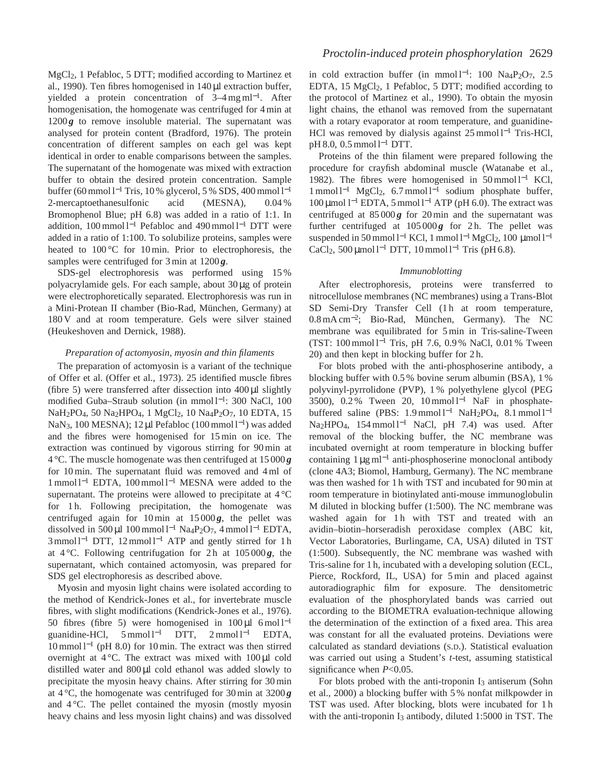MgCl2, 1 Pefabloc, 5 DTT; modified according to Martinez et al., 1990). Ten fibres homogenised in 140 µl extraction buffer, yielded a protein concentration of  $3-4$  mg ml<sup>-1</sup>. After homogenisation, the homogenate was centrifuged for 4 min at  $1200g$  to remove insoluble material. The supernatant was analysed for protein content (Bradford, 1976). The protein concentration of different samples on each gel was kept identical in order to enable comparisons between the samples. The supernatant of the homogenate was mixed with extraction buffer to obtain the desired protein concentration. Sample buffer (60 mmol l−<sup>1</sup> Tris, 10 % glycerol, 5 % SDS, 400 mmol l−<sup>1</sup> 2-mercaptoethanesulfonic acid (MESNA), 0.04 % Bromophenol Blue; pH 6.8) was added in a ratio of 1:1. In addition, 100 mmol l−<sup>1</sup> Pefabloc and 490 mmol l−<sup>1</sup> DTT were added in a ratio of 1:100. To solubilize proteins, samples were heated to 100 °C for 10 min. Prior to electrophoresis, the samples were centrifuged for 3 min at 1200 *g*.

SDS-gel electrophoresis was performed using 15 % polyacrylamide gels. For each sample, about 30 µg of protein were electrophoretically separated. Electrophoresis was run in a Mini-Protean II chamber (Bio-Rad, München, Germany) at 180 V and at room temperature. Gels were silver stained (Heukeshoven and Dernick, 1988).

### *Preparation of actomyosin, myosin and thin filaments*

The preparation of actomyosin is a variant of the technique of Offer et al. (Offer et al., 1973). 25 identified muscle fibres (fibre 5) were transferred after dissection into  $400 \mu$ l slightly modified Guba–Straub solution (in mmol l<sup>−</sup>1: 300 NaCl, 100 NaH<sub>2</sub>PO<sub>4</sub>, 50 Na<sub>2</sub>HPO<sub>4</sub>, 1 MgCl<sub>2</sub>, 10 Na<sub>4</sub>P<sub>2</sub>O<sub>7</sub>, 10 EDTA, 15 NaN<sub>3</sub>, 100 MESNA); 12 μl Pefabloc (100 mmol l<sup>-1</sup>) was added and the fibres were homogenised for 15 min on ice. The extraction was continued by vigorous stirring for 90 min at 4 °C. The muscle homogenate was then centrifuged at 15 000 *g* for 10 min. The supernatant fluid was removed and 4 ml of 1 mmol l−<sup>1</sup> EDTA, 100 mmol l−<sup>1</sup> MESNA were added to the supernatant. The proteins were allowed to precipitate at  $4^{\circ}$ C for 1h. Following precipitation, the homogenate was centrifuged again for  $10 \text{ min}$  at  $15000g$ , the pellet was dissolved in 500 µl 100 mmol l−<sup>1</sup> Na4P2O7, 4 mmol l−<sup>1</sup> EDTA, 3 mmol l<sup>-1</sup> DTT, 12 mmol l<sup>-1</sup> ATP and gently stirred for 1 h at  $4^{\circ}$ C. Following centrifugation for 2h at  $105000g$ , the supernatant, which contained actomyosin, was prepared for SDS gel electrophoresis as described above.

Myosin and myosin light chains were isolated according to the method of Kendrick-Jones et al., for invertebrate muscle fibres, with slight modifications (Kendrick-Jones et al., 1976). 50 fibres (fibre 5) were homogenised in  $100 \mu l$  6 mol l<sup>-1</sup> guanidine-HCl,  $5 \text{mmol } 1^{-1}$  DTT,  $2 \text{mmol } 1^{-1}$  EDTA, 10 mmol l−<sup>1</sup> (pH 8.0) for 10 min. The extract was then stirred overnight at  $4^{\circ}$ C. The extract was mixed with  $100 \mu l$  cold distilled water and  $800 \mu l$  cold ethanol was added slowly to precipitate the myosin heavy chains. After stirring for 30 min at  $4^{\circ}$ C, the homogenate was centrifuged for 30 min at  $3200g$ and  $4^{\circ}$ C. The pellet contained the myosin (mostly myosin heavy chains and less myosin light chains) and was dissolved

in cold extraction buffer (in mmol l<sup>-1</sup>: 100 Na<sub>4</sub>P<sub>2</sub>O<sub>7</sub>, 2.5 EDTA, 15 MgCl2, 1 Pefabloc, 5 DTT; modified according to the protocol of Martinez et al., 1990). To obtain the myosin light chains, the ethanol was removed from the supernatant with a rotary evaporator at room temperature, and guanidine-HCl was removed by dialysis against 25 mmol l<sup>-1</sup> Tris-HCl, pH 8.0, 0.5 mmol l<sup>-1</sup> DTT.

Proteins of the thin filament were prepared following the procedure for crayfish abdominal muscle (Watanabe et al., 1982). The fibres were homogenised in 50 mmol l−<sup>1</sup> KCl, 1 mmol l−<sup>1</sup> MgCl2, 6.7 mmol l−<sup>1</sup> sodium phosphate buffer, 100 µmol l−<sup>1</sup> EDTA, 5 mmol l−<sup>1</sup> ATP (pH 6.0). The extract was centrifuged at  $85000g$  for 20 min and the supernatant was further centrifuged at  $105000g$  for 2h. The pellet was suspended in 50 mmol l<sup>-1</sup> KCl, 1 mmol l<sup>-1</sup> MgCl<sub>2</sub>, 100 µmol l<sup>-1</sup> CaCl<sub>2</sub>, 500 µmol l<sup>-1</sup> DTT, 10 mmol l<sup>-1</sup> Tris (pH 6.8).

### *Immunoblotting*

After electrophoresis, proteins were transferred to nitrocellulose membranes (NC membranes) using a Trans-Blot SD Semi-Dry Transfer Cell (1h at room temperature, 0.8 mA cm<sup>−</sup>2; Bio-Rad, München, Germany). The NC membrane was equilibrated for 5 min in Tris-saline-Tween (TST: 100 mmol l−<sup>1</sup> Tris, pH 7.6, 0.9 % NaCl, 0.01 % Tween 20) and then kept in blocking buffer for 2 h.

For blots probed with the anti-phosphoserine antibody, a blocking buffer with 0.5 % bovine serum albumin (BSA), 1 % polyvinyl-pyrrolidone (PVP), 1 % polyethylene glycol (PEG 3500), 0.2 % Tween 20, 10 mmol l<sup>-1</sup> NaF in phosphatebuffered saline (PBS: 1.9 mmol l<sup>-1</sup> NaH<sub>2</sub>PO<sub>4</sub>, 8.1 mmol l<sup>-1</sup> Na<sub>2</sub>HPO<sub>4</sub>, 154 mmol l<sup>-1</sup> NaCl, pH 7.4) was used. After removal of the blocking buffer, the NC membrane was incubated overnight at room temperature in blocking buffer containing 1 µg ml−<sup>1</sup> anti-phosphoserine monoclonal antibody (clone 4A3; Biomol, Hamburg, Germany). The NC membrane was then washed for 1 h with TST and incubated for 90 min at room temperature in biotinylated anti-mouse immunoglobulin M diluted in blocking buffer (1:500). The NC membrane was washed again for 1h with TST and treated with an avidin–biotin–horseradish peroxidase complex (ABC kit, Vector Laboratories, Burlingame, CA, USA) diluted in TST (1:500). Subsequently, the NC membrane was washed with Tris-saline for 1 h, incubated with a developing solution (ECL, Pierce, Rockford, IL, USA) for 5 min and placed against autoradiographic film for exposure. The densitometric evaluation of the phosphorylated bands was carried out according to the BIOMETRA evaluation-technique allowing the determination of the extinction of a fixed area. This area was constant for all the evaluated proteins. Deviations were calculated as standard deviations (S.D.). Statistical evaluation was carried out using a Student's *t*-test, assuming statistical significance when *P*<0.05.

For blots probed with the anti-troponin I<sub>3</sub> antiserum (Sohn et al., 2000) a blocking buffer with 5 % nonfat milkpowder in TST was used. After blocking, blots were incubated for 1 h with the anti-troponin I<sub>3</sub> antibody, diluted 1:5000 in TST. The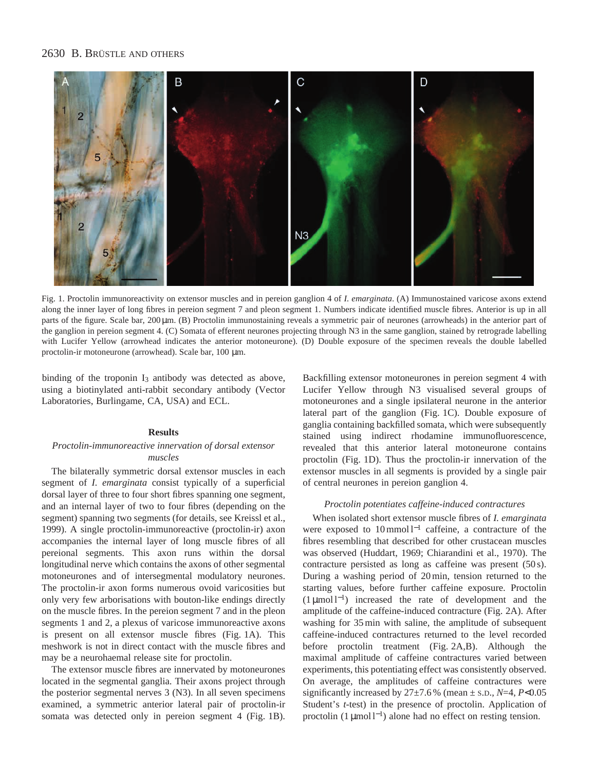# 2630 B. BRÜSTLE AND OTHERS



Fig. 1. Proctolin immunoreactivity on extensor muscles and in pereion ganglion 4 of *I. emarginata*. (A) Immunostained varicose axons extend along the inner layer of long fibres in pereion segment 7 and pleon segment 1. Numbers indicate identified muscle fibres. Anterior is up in all parts of the figure. Scale bar, 200  $\mu$ m. (B) Proctolin immunostaining reveals a symmetric pair of neurones (arrowheads) in the anterior part of the ganglion in pereion segment 4. (C) Somata of efferent neurones projecting through N3 in the same ganglion, stained by retrograde labelling with Lucifer Yellow (arrowhead indicates the anterior motoneurone). (D) Double exposure of the specimen reveals the double labelled proctolin-ir motoneurone (arrowhead). Scale bar, 100 µm.

binding of the troponin I<sub>3</sub> antibody was detected as above, using a biotinylated anti-rabbit secondary antibody (Vector Laboratories, Burlingame, CA, USA) and ECL.

### **Results**

### *Proctolin-immunoreactive innervation of dorsal extensor muscles*

The bilaterally symmetric dorsal extensor muscles in each segment of *I. emarginata* consist typically of a superficial dorsal layer of three to four short fibres spanning one segment, and an internal layer of two to four fibres (depending on the segment) spanning two segments (for details, see Kreissl et al., 1999). A single proctolin-immunoreactive (proctolin-ir) axon accompanies the internal layer of long muscle fibres of all pereional segments. This axon runs within the dorsal longitudinal nerve which contains the axons of other segmental motoneurones and of intersegmental modulatory neurones. The proctolin-ir axon forms numerous ovoid varicosities but only very few arborisations with bouton-like endings directly on the muscle fibres. In the pereion segment 7 and in the pleon segments 1 and 2, a plexus of varicose immunoreactive axons is present on all extensor muscle fibres (Fig. 1A). This meshwork is not in direct contact with the muscle fibres and may be a neurohaemal release site for proctolin.

The extensor muscle fibres are innervated by motoneurones located in the segmental ganglia. Their axons project through the posterior segmental nerves 3 (N3). In all seven specimens examined, a symmetric anterior lateral pair of proctolin-ir somata was detected only in pereion segment 4 (Fig. 1B).

Backfilling extensor motoneurones in pereion segment 4 with Lucifer Yellow through N3 visualised several groups of motoneurones and a single ipsilateral neurone in the anterior lateral part of the ganglion (Fig. 1C). Double exposure of ganglia containing backfilled somata, which were subsequently stained using indirect rhodamine immunofluorescence, revealed that this anterior lateral motoneurone contains proctolin (Fig. 1D). Thus the proctolin-ir innervation of the extensor muscles in all segments is provided by a single pair of central neurones in pereion ganglion 4.

### *Proctolin potentiates caffeine-induced contractures*

When isolated short extensor muscle fibres of *I. emarginata* were exposed to 10 mmol l−<sup>1</sup> caffeine, a contracture of the fibres resembling that described for other crustacean muscles was observed (Huddart, 1969; Chiarandini et al., 1970). The contracture persisted as long as caffeine was present (50 s). During a washing period of 20 min, tension returned to the starting values, before further caffeine exposure. Proctolin (1 µmol l<sup>−</sup>1) increased the rate of development and the amplitude of the caffeine-induced contracture (Fig. 2A). After washing for 35 min with saline, the amplitude of subsequent caffeine-induced contractures returned to the level recorded before proctolin treatment (Fig. 2A,B). Although the maximal amplitude of caffeine contractures varied between experiments, this potentiating effect was consistently observed. On average, the amplitudes of caffeine contractures were significantly increased by 27±7.6 % (mean ± S.D., *N*=4, *P*<0.05 Student's *t*-test) in the presence of proctolin. Application of proctolin  $(1 \mu \text{mol}^{-1})$  alone had no effect on resting tension.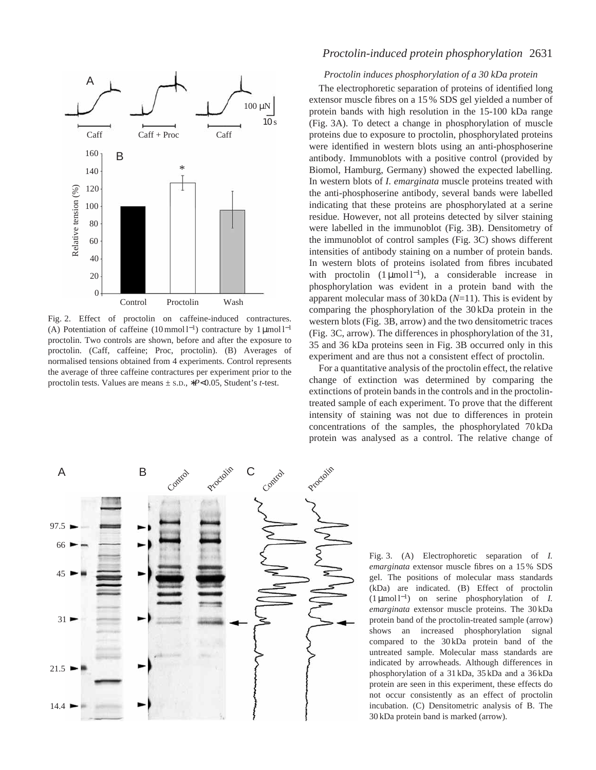

Fig. 2. Effect of proctolin on caffeine-induced contractures. (A) Potentiation of caffeine (10 mmol l<sup>-1</sup>) contracture by 1 µmol l<sup>-1</sup> proctolin. Two controls are shown, before and after the exposure to proctolin. (Caff, caffeine; Proc, proctolin). (B) Averages of normalised tensions obtained from 4 experiments. Control represents the average of three caffeine contractures per experiment prior to the proctolin tests. Values are means ± S.D., ∗*P*<0.05, Student's *t*-test.

# *Proctolin-induced protein phosphorylation* 2631

### *Proctolin induces phosphorylation of a 30 kDa protein*

The electrophoretic separation of proteins of identified long extensor muscle fibres on a 15 % SDS gel yielded a number of protein bands with high resolution in the 15-100 kDa range (Fig. 3A). To detect a change in phosphorylation of muscle proteins due to exposure to proctolin, phosphorylated proteins were identified in western blots using an anti-phosphoserine antibody. Immunoblots with a positive control (provided by Biomol, Hamburg, Germany) showed the expected labelling. In western blots of *I. emarginata* muscle proteins treated with the anti-phosphoserine antibody, several bands were labelled indicating that these proteins are phosphorylated at a serine residue. However, not all proteins detected by silver staining were labelled in the immunoblot (Fig. 3B). Densitometry of the immunoblot of control samples (Fig. 3C) shows different intensities of antibody staining on a number of protein bands. In western blots of proteins isolated from fibres incubated with proctolin  $(1 \mu \text{mol})^{-1}$ , a considerable increase in phosphorylation was evident in a protein band with the apparent molecular mass of 30 kDa (*N*=11). This is evident by comparing the phosphorylation of the 30 kDa protein in the western blots (Fig. 3B, arrow) and the two densitometric traces (Fig. 3C, arrow). The differences in phosphorylation of the 31, 35 and 36 kDa proteins seen in Fig. 3B occurred only in this experiment and are thus not a consistent effect of proctolin.

For a quantitative analysis of the proctolin effect, the relative change of extinction was determined by comparing the extinctions of protein bands in the controls and in the proctolintreated sample of each experiment. To prove that the different intensity of staining was not due to differences in protein concentrations of the samples, the phosphorylated 70 kDa protein was analysed as a control. The relative change of



Fig. 3. (A) Electrophoretic separation of *I. emarginata* extensor muscle fibres on a 15 % SDS gel. The positions of molecular mass standards (kDa) are indicated. (B) Effect of proctolin (1 µmol l<sup>−</sup>1) on serine phosphorylation of *I. emarginata* extensor muscle proteins. The 30 kDa protein band of the proctolin-treated sample (arrow) shows an increased phosphorylation signal compared to the 30 kDa protein band of the untreated sample. Molecular mass standards are indicated by arrowheads. Although differences in phosphorylation of a 31 kDa, 35 kDa and a 36 kDa protein are seen in this experiment, these effects do not occur consistently as an effect of proctolin incubation. (C) Densitometric analysis of B. The 30 kDa protein band is marked (arrow).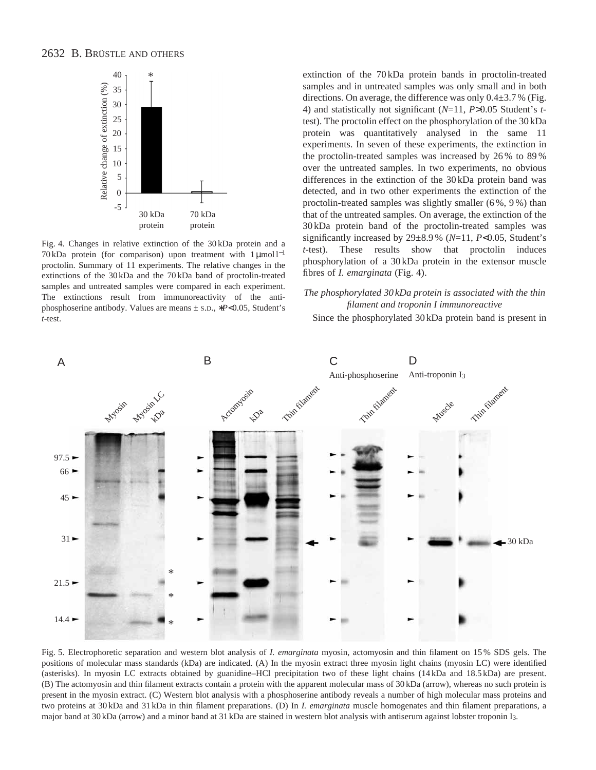# 2632 B. BRÜSTLE AND OTHERS



Fig. 4. Changes in relative extinction of the 30 kDa protein and a 70 kDa protein (for comparison) upon treatment with 1 µmol l<sup>-1</sup> proctolin. Summary of 11 experiments. The relative changes in the extinctions of the 30 kDa and the 70 kDa band of proctolin-treated samples and untreated samples were compared in each experiment. The extinctions result from immunoreactivity of the antiphosphoserine antibody. Values are means ± S.D., ∗*P*<0.05, Student's *t*-test.

extinction of the 70 kDa protein bands in proctolin-treated samples and in untreated samples was only small and in both directions. On average, the difference was only  $0.4\pm3.7\%$  (Fig. 4) and statistically not significant (*N*=11, *P*>0.05 Student's *t*test). The proctolin effect on the phosphorylation of the 30 kDa protein was quantitatively analysed in the same 11 experiments. In seven of these experiments, the extinction in the proctolin-treated samples was increased by 26 % to 89 % over the untreated samples. In two experiments, no obvious differences in the extinction of the 30 kDa protein band was detected, and in two other experiments the extinction of the proctolin-treated samples was slightly smaller (6 %, 9 %) than that of the untreated samples. On average, the extinction of the 30 kDa protein band of the proctolin-treated samples was significantly increased by 29±8.9 % (*N*=11, *P*<0.05, Student's *t*-test). These results show that proctolin induces phosphorylation of a 30 kDa protein in the extensor muscle fibres of *I. emarginata* (Fig. 4).

### *The phosphorylated 30 kDa protein is associated with the thin filament and troponin I immunoreactive*

Since the phosphorylated 30 kDa protein band is present in



Fig. 5. Electrophoretic separation and western blot analysis of *I. emarginata* myosin, actomyosin and thin filament on 15 % SDS gels. The positions of molecular mass standards (kDa) are indicated. (A) In the myosin extract three myosin light chains (myosin LC) were identified (asterisks). In myosin LC extracts obtained by guanidine–HCl precipitation two of these light chains (14 kDa and 18.5 kDa) are present. (B) The actomyosin and thin filament extracts contain a protein with the apparent molecular mass of 30 kDa (arrow), whereas no such protein is present in the myosin extract. (C) Western blot analysis with a phosphoserine antibody reveals a number of high molecular mass proteins and two proteins at 30 kDa and 31 kDa in thin filament preparations. (D) In *I. emarginata* muscle homogenates and thin filament preparations, a major band at 30 kDa (arrow) and a minor band at 31 kDa are stained in western blot analysis with antiserum against lobster troponin I3.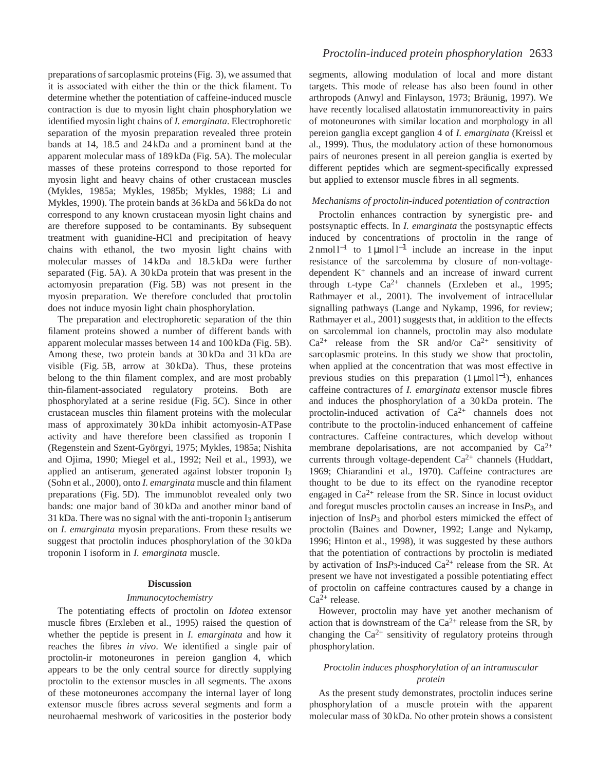preparations of sarcoplasmic proteins (Fig. 3), we assumed that it is associated with either the thin or the thick filament. To determine whether the potentiation of caffeine-induced muscle contraction is due to myosin light chain phosphorylation we identified myosin light chains of *I. emarginata*. Electrophoretic separation of the myosin preparation revealed three protein bands at 14, 18.5 and 24 kDa and a prominent band at the apparent molecular mass of 189 kDa (Fig. 5A). The molecular masses of these proteins correspond to those reported for myosin light and heavy chains of other crustacean muscles (Mykles, 1985a; Mykles, 1985b; Mykles, 1988; Li and Mykles, 1990). The protein bands at 36 kDa and 56 kDa do not correspond to any known crustacean myosin light chains and are therefore supposed to be contaminants. By subsequent treatment with guanidine-HCl and precipitation of heavy chains with ethanol, the two myosin light chains with molecular masses of 14 kDa and 18.5 kDa were further separated (Fig. 5A). A 30 kDa protein that was present in the actomyosin preparation (Fig. 5B) was not present in the myosin preparation. We therefore concluded that proctolin does not induce myosin light chain phosphorylation.

The preparation and electrophoretic separation of the thin filament proteins showed a number of different bands with apparent molecular masses between 14 and 100 kDa (Fig. 5B). Among these, two protein bands at 30 kDa and 31 kDa are visible (Fig. 5B, arrow at 30 kDa). Thus, these proteins belong to the thin filament complex, and are most probably thin-filament-associated regulatory proteins. Both are phosphorylated at a serine residue (Fig. 5C). Since in other crustacean muscles thin filament proteins with the molecular mass of approximately 30 kDa inhibit actomyosin-ATPase activity and have therefore been classified as troponin I (Regenstein and Szent-Györgyi, 1975; Mykles, 1985a; Nishita and Ojima, 1990; Miegel et al., 1992; Neil et al., 1993), we applied an antiserum, generated against lobster troponin I3 (Sohn et al., 2000), onto *I. emarginata* muscle and thin filament preparations (Fig. 5D). The immunoblot revealed only two bands: one major band of 30 kDa and another minor band of  $31$  kDa. There was no signal with the anti-troponin  $I_3$  antiserum on *I. emarginata* myosin preparations. From these results we suggest that proctolin induces phosphorylation of the 30 kDa troponin I isoform in *I. emarginata* muscle.

#### **Discussion**

#### *Immunocytochemistry*

The potentiating effects of proctolin on *Idotea* extensor muscle fibres (Erxleben et al., 1995) raised the question of whether the peptide is present in *I. emarginata* and how it reaches the fibres *in vivo*. We identified a single pair of proctolin-ir motoneurones in pereion ganglion 4, which appears to be the only central source for directly supplying proctolin to the extensor muscles in all segments. The axons of these motoneurones accompany the internal layer of long extensor muscle fibres across several segments and form a neurohaemal meshwork of varicosities in the posterior body segments, allowing modulation of local and more distant targets. This mode of release has also been found in other arthropods (Anwyl and Finlayson, 1973; Bräunig, 1997). We have recently localised allatostatin immunoreactivity in pairs of motoneurones with similar location and morphology in all pereion ganglia except ganglion 4 of *I. emarginata* (Kreissl et al., 1999). Thus, the modulatory action of these homonomous pairs of neurones present in all pereion ganglia is exerted by different peptides which are segment-specifically expressed but applied to extensor muscle fibres in all segments.

### *Mechanisms of proctolin-induced potentiation of contraction*

Proctolin enhances contraction by synergistic pre- and postsynaptic effects. In *I. emarginata* the postsynaptic effects induced by concentrations of proctolin in the range of  $2 \text{ nmol } l^{-1}$  to 1 µmol l<sup>-1</sup> include an increase in the input resistance of the sarcolemma by closure of non-voltagedependent K<sup>+</sup> channels and an increase of inward current through L-type  $Ca^{2+}$  channels (Erxleben et al., 1995; Rathmayer et al., 2001). The involvement of intracellular signalling pathways (Lange and Nykamp, 1996, for review; Rathmayer et al., 2001) suggests that, in addition to the effects on sarcolemmal ion channels, proctolin may also modulate  $Ca^{2+}$  release from the SR and/or  $Ca^{2+}$  sensitivity of sarcoplasmic proteins. In this study we show that proctolin, when applied at the concentration that was most effective in previous studies on this preparation  $(1 \mu \text{mol})^{-1}$ , enhances caffeine contractures of *I. emarginata* extensor muscle fibres and induces the phosphorylation of a 30 kDa protein. The proctolin-induced activation of Ca2+ channels does not contribute to the proctolin-induced enhancement of caffeine contractures. Caffeine contractures, which develop without membrane depolarisations, are not accompanied by  $Ca^{2+}$ currents through voltage-dependent  $Ca^{2+}$  channels (Huddart, 1969; Chiarandini et al., 1970). Caffeine contractures are thought to be due to its effect on the ryanodine receptor engaged in  $Ca^{2+}$  release from the SR. Since in locust oviduct and foregut muscles proctolin causes an increase in Ins*P*3, and injection of Ins*P*3 and phorbol esters mimicked the effect of proctolin (Baines and Downer, 1992; Lange and Nykamp, 1996; Hinton et al., 1998), it was suggested by these authors that the potentiation of contractions by proctolin is mediated by activation of Ins $P_3$ -induced Ca<sup>2+</sup> release from the SR. At present we have not investigated a possible potentiating effect of proctolin on caffeine contractures caused by a change in  $Ca^{2+}$  release.

However, proctolin may have yet another mechanism of action that is downstream of the  $Ca^{2+}$  release from the SR, by changing the  $Ca^{2+}$  sensitivity of regulatory proteins through phosphorylation.

### *Proctolin induces phosphorylation of an intramuscular protein*

As the present study demonstrates, proctolin induces serine phosphorylation of a muscle protein with the apparent molecular mass of 30 kDa. No other protein shows a consistent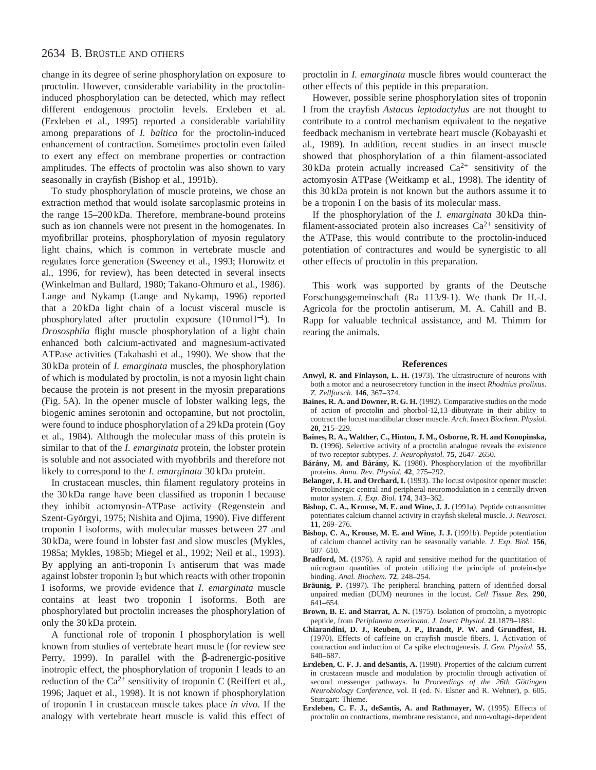# 2634 B. BRÜSTLE AND OTHERS

change in its degree of serine phosphorylation on exposure to proctolin. However, considerable variability in the proctolininduced phosphorylation can be detected, which may reflect different endogenous proctolin levels. Erxleben et al. (Erxleben et al., 1995) reported a considerable variability among preparations of *I. baltica* for the proctolin-induced enhancement of contraction. Sometimes proctolin even failed to exert any effect on membrane properties or contraction amplitudes. The effects of proctolin was also shown to vary seasonally in crayfish (Bishop et al., 1991b).

To study phosphorylation of muscle proteins, we chose an extraction method that would isolate sarcoplasmic proteins in the range 15–200 kDa. Therefore, membrane-bound proteins such as ion channels were not present in the homogenates. In myofibrillar proteins, phosphorylation of myosin regulatory light chains, which is common in vertebrate muscle and regulates force generation (Sweeney et al., 1993; Horowitz et al., 1996, for review), has been detected in several insects (Winkelman and Bullard, 1980; Takano-Ohmuro et al., 1986). Lange and Nykamp (Lange and Nykamp, 1996) reported that a 20 kDa light chain of a locust visceral muscle is phosphorylated after proctolin exposure (10 nmol l<sup>-1</sup>). In *Drososphila* flight muscle phosphorylation of a light chain enhanced both calcium-activated and magnesium-activated ATPase activities (Takahashi et al., 1990). We show that the 30 kDa protein of *I. emarginata* muscles, the phosphorylation of which is modulated by proctolin, is not a myosin light chain because the protein is not present in the myosin preparations (Fig. 5A). In the opener muscle of lobster walking legs, the biogenic amines serotonin and octopamine, but not proctolin, were found to induce phosphorylation of a 29 kDa protein (Goy et al., 1984). Although the molecular mass of this protein is similar to that of the *I. emarginata* protein, the lobster protein is soluble and not associated with myofibrils and therefore not likely to correspond to the *I. emarginata* 30 kDa protein.

In crustacean muscles, thin filament regulatory proteins in the 30 kDa range have been classified as troponin I because they inhibit actomyosin-ATPase activity (Regenstein and Szent-Györgyi, 1975; Nishita and Ojima, 1990). Five different troponin I isoforms, with molecular masses between 27 and 30 kDa, were found in lobster fast and slow muscles (Mykles, 1985a; Mykles, 1985b; Miegel et al., 1992; Neil et al., 1993). By applying an anti-troponin  $I_3$  antiserum that was made against lobster troponin I3 but which reacts with other troponin I isoforms, we provide evidence that *I. emarginata* muscle contains at least two troponin I isoforms. Both are phosphorylated but proctolin increases the phosphorylation of only the 30 kDa protein.

A functional role of troponin I phosphorylation is well known from studies of vertebrate heart muscle (for review see Perry, 1999). In parallel with the β-adrenergic-positive inotropic effect, the phosphorylation of troponin I leads to an reduction of the  $Ca^{2+}$  sensitivity of troponin C (Reiffert et al., 1996; Jaquet et al., 1998). It is not known if phosphorylation of troponin I in crustacean muscle takes place *in vivo*. If the analogy with vertebrate heart muscle is valid this effect of

proctolin in *I. emarginata* muscle fibres would counteract the other effects of this peptide in this preparation.

However, possible serine phosphorylation sites of troponin I from the crayfish *Astacus leptodactylus* are not thought to contribute to a control mechanism equivalent to the negative feedback mechanism in vertebrate heart muscle (Kobayashi et al., 1989). In addition, recent studies in an insect muscle showed that phosphorylation of a thin filament-associated  $30 \text{ kDa}$  protein actually increased  $Ca^{2+}$  sensitivity of the actomyosin ATPase (Weitkamp et al., 1998). The identity of this 30 kDa protein is not known but the authors assume it to be a troponin I on the basis of its molecular mass.

If the phosphorylation of the *I. emarginata* 30 kDa thinfilament-associated protein also increases  $Ca^{2+}$  sensitivity of the ATPase, this would contribute to the proctolin-induced potentiation of contractures and would be synergistic to all other effects of proctolin in this preparation.

This work was supported by grants of the Deutsche Forschungsgemeinschaft (Ra 113/9-1). We thank Dr H.-J. Agricola for the proctolin antiserum, M. A. Cahill and B. Rapp for valuable technical assistance, and M. Thimm for rearing the animals.

#### **References**

- **Anwyl, R. and Finlayson, L. H.** (1973). The ultrastructure of neurons with both a motor and a neurosecretory function in the insect *Rhodnius prolixus*. *Z. Zellforsch.* **146**, 367–374.
- **Baines, R. A. and Downer, R. G. H.** (1992). Comparative studies on the mode of action of proctolin and phorbol-12,13–dibutyrate in their ability to contract the locust mandibular closer muscle. *Arch. Insect Biochem. Physiol.* **20**, 215–229.
- **Baines, R. A., Walther, C., Hinton, J. M., Osborne, R. H. and Konopinska, D.** (1996). Selective activity of a proctolin analogue reveals the existence of two receptor subtypes. *J. Neurophysiol.* **75**, 2647–2650.
- **Bárány, M. and Bárány, K.** (1980). Phosphorylation of the myofibrillar proteins. *Annu. Rev. Physiol.* **42**, 275–292.
- **Belanger, J. H. and Orchard, I.** (1993). The locust ovipositor opener muscle: Proctolinergic central and peripheral neuromodulation in a centrally driven motor system. *J. Exp. Biol.* **174**, 343–362.
- **Bishop, C. A., Krouse, M. E. and Wine, J. J.** (1991a). Peptide cotransmitter potentiates calcium channel activity in crayfish skeletal muscle. *J. Neurosci.* **11**, 269–276.
- **Bishop, C. A., Krouse, M. E. and Wine, J. J.** (1991b). Peptide potentiation of calcium channel activity can be seasonally variable. *J. Exp. Biol.* **156**, 607–610.
- Bradford, M. (1976). A rapid and sensitive method for the quantitation of microgram quantities of protein utilizing the principle of protein-dye binding. *Anal. Biochem.* **72**, 248–254.
- **Bräunig, P.** (1997). The peripheral branching pattern of identified dorsal unpaired median (DUM) neurones in the locust. *Cell Tissue Res.* **290**, 641–654.
- **Brown, B. E. and Starrat, A. N.** (1975). Isolation of proctolin, a myotropic peptide, from *Periplaneta americana*. *J. Insect Physiol.* **21**,1879–1881.
- **Chiarandini, D. J., Reuben, J. P., Brandt, P. W. and Grundfest, H.** (1970). Effects of caffeine on crayfish muscle fibers. I. Activation of contraction and induction of Ca spike electrogenesis. *J. Gen. Physiol.* **55**, 640–687.
- **Erxleben, C. F. J. and deSantis, A.** (1998). Properties of the calcium current in crustacean muscle and modulation by proctolin through activation of second messenger pathways. In *Proceedings of the 26th Göttingen Neurobiology Conference*, vol. II (ed. N. Elsner and R. Wehner), p. 605. Stuttgart: Thieme.
- **Erxleben, C. F. J., deSantis, A. and Rathmayer, W.** (1995). Effects of proctolin on contractions, membrane resistance, and non-voltage-dependent